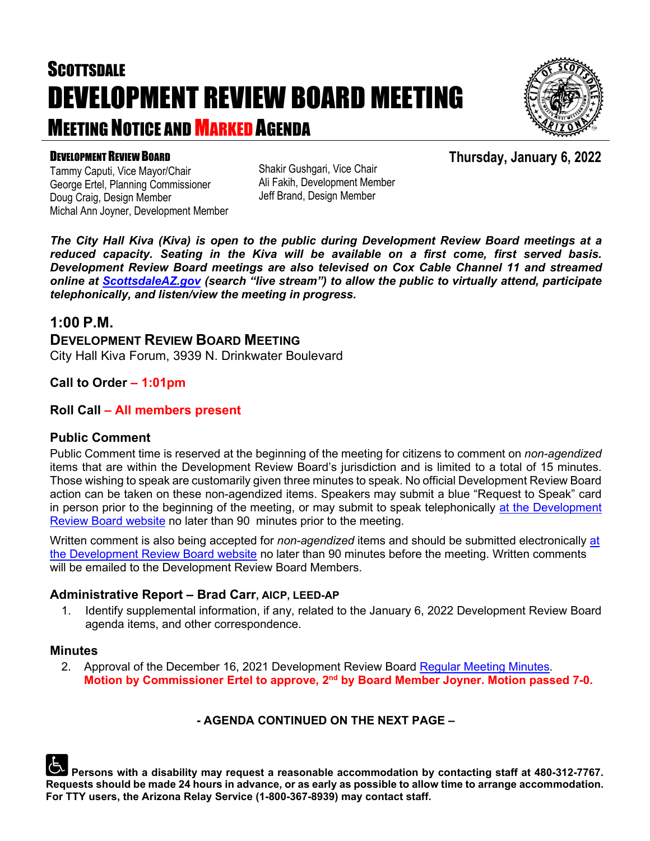# **SCOTTSDALE** DEVELOPMENT REVIEW BOARD MEETING MEETING NOTICE AND MARKED AGENDA



#### DEVELOPMENT REVIEW BOARD

Tammy Caputi, Vice Mayor/Chair George Ertel, Planning Commissioner Doug Craig, Design Member Michal Ann Joyner, Development Member Shakir Gushgari, Vice Chair Ali Fakih, Development Member Jeff Brand, Design Member

*The City Hall Kiva (Kiva) is open to the public during Development Review Board meetings at a reduced capacity. Seating in the Kiva will be available on a first come, first served basis. Development Review Board meetings are also televised on Cox Cable Channel 11 and streamed online at [ScottsdaleAZ.gov](http://www.scottsdaleaz.gov/) (search "live stream") to allow the public to virtually attend, participate telephonically, and listen/view the meeting in progress.*

#### **1:00 P.M.**

**DEVELOPMENT REVIEW BOARD MEETING**  City Hall Kiva Forum, 3939 N. Drinkwater Boulevard

#### **Call to Order – 1:01pm**

#### **Roll Call – All members present**

#### **Public Comment**

Public Comment time is reserved at the beginning of the meeting for citizens to comment on *non-agendized* items that are within the Development Review Board's jurisdiction and is limited to a total of 15 minutes. Those wishing to speak are customarily given three minutes to speak. No official Development Review Board action can be taken on these non-agendized items. Speakers may submit a blue "Request to Speak" card in person prior to the beginning of the meeting, or may submit to speak telephonically [at the Development](https://www.scottsdaleaz.gov/boards/development-review-board/spoken-comment) [Review Board website](https://www.scottsdaleaz.gov/boards/development-review-board/spoken-comment) no later than 90 minutes prior to the meeting.

Written comment is also being accepted for *non-agendized* items and should be submitted electronically [at](https://www.scottsdaleaz.gov/boards/development-review-board/public-comment)  [the Development Review Board website](https://www.scottsdaleaz.gov/boards/development-review-board/public-comment) no later than 90 minutes before the meeting. Written comments will be emailed to the Development Review Board Members.

#### **Administrative Report – Brad Carr, AICP, LEED-AP**

1. Identify supplemental information, if any, related to the January 6, 2022 Development Review Board agenda items, and other correspondence.

#### **Minutes**

2. Approval of the December 16, 2021 Development Review Board [Regular Meeting Minutes.](https://eservices.scottsdaleaz.gov/planning/projectsummary/unrelated_documents/DRB_MEETING_MINUTES_12162021.pdf) **Motion by Commissioner Ertel to approve, 2nd by Board Member Joyner. Motion passed 7-0.**

#### **- AGENDA CONTINUED ON THE NEXT PAGE –**

**Persons with a disability may request a reasonable accommodation by contacting staff at 480-312-7767. Requests should be made 24 hours in advance, or as early as possible to allow time to arrange accommodation. For TTY users, the Arizona Relay Service (1-800-367-8939) may contact staff.**

**Thursday, January 6, 2022**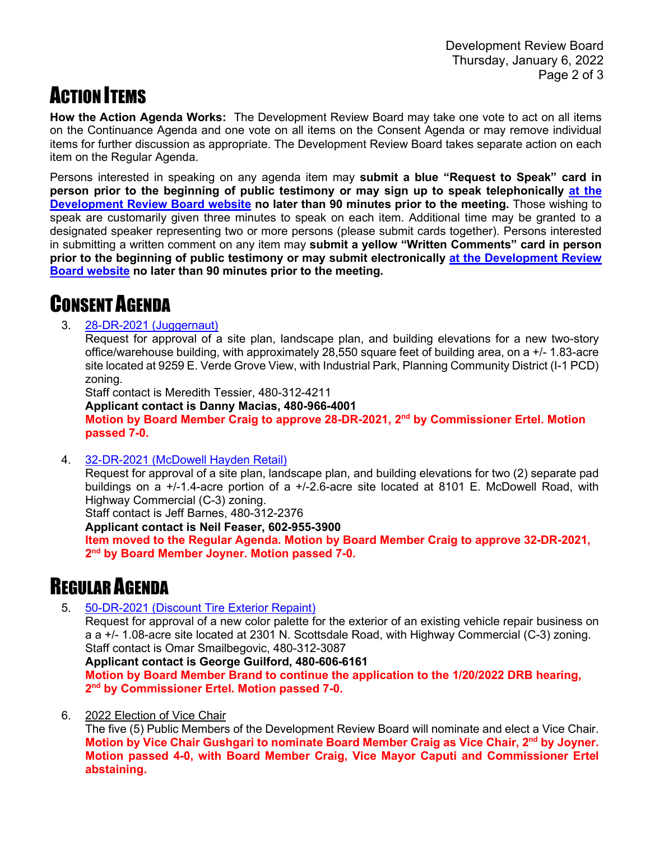# ACTION ITEMS

**How the Action Agenda Works:** The Development Review Board may take one vote to act on all items on the Continuance Agenda and one vote on all items on the Consent Agenda or may remove individual items for further discussion as appropriate. The Development Review Board takes separate action on each item on the Regular Agenda.

Persons interested in speaking on any agenda item may **submit a blue "Request to Speak" card in person prior to the beginning of public testimony or may sign up to speak telephonically [at the](https://www.scottsdaleaz.gov/boards/development-review-board/spoken-comment)  [Development Review Board website](https://www.scottsdaleaz.gov/boards/development-review-board/spoken-comment) no later than 90 minutes prior to the meeting.** Those wishing to speak are customarily given three minutes to speak on each item. Additional time may be granted to a designated speaker representing two or more persons (please submit cards together). Persons interested in submitting a written comment on any item may **submit a yellow "Written Comments" card in person prior to the beginning of public testimony or may submit electronically [at the Development Review](https://www.scottsdaleaz.gov/boards/development-review-board/public-comment)  [Board website](https://www.scottsdaleaz.gov/boards/development-review-board/public-comment) no later than 90 minutes prior to the meeting.**

# CONSENT AGENDA

#### 3. [28-DR-2021 \(Juggernaut\)](https://eservices.scottsdaleaz.gov/planning/projectsummary/dr_reports/DR_28_DR_2021.pdf)

Request for approval of a site plan, landscape plan, and building elevations for a new two-story office/warehouse building, with approximately 28,550 square feet of building area, on a +/- 1.83-acre site located at 9259 E. Verde Grove View, with Industrial Park, Planning Community District (I-1 PCD) zoning.

Staff contact is Meredith Tessier, 480-312-4211

**Applicant contact is Danny Macias, 480-966-4001 Motion by Board Member Craig to approve 28-DR-2021, 2nd by Commissioner Ertel. Motion passed 7-0.**

#### 4. [32-DR-2021 \(McDowell Hayden Retail\)](https://eservices.scottsdaleaz.gov/planning/projectsummary/dr_reports/DR_32_DR_2021.pdf)

Request for approval of a site plan, landscape plan, and building elevations for two (2) separate pad buildings on a +/-1.4-acre portion of a +/-2.6-acre site located at 8101 E. McDowell Road, with Highway Commercial (C-3) zoning.

Staff contact is Jeff Barnes, 480-312-2376

**Applicant contact is Neil Feaser, 602-955-3900**

**Item moved to the Regular Agenda. Motion by Board Member Craig to approve 32-DR-2021, 2nd by Board Member Joyner. Motion passed 7-0.**

### REGULAR AGENDA

5. [50-DR-2021 \(Discount Tire Exterior Repaint\)](https://eservices.scottsdaleaz.gov/planning/projectsummary/dr_reports/DR_50_DR_2021.pdf)

Request for approval of a new color palette for the exterior of an existing vehicle repair business on a a +/- 1.08-acre site located at 2301 N. Scottsdale Road, with Highway Commercial (C-3) zoning. Staff contact is Omar Smailbegovic, 480-312-3087

#### **Applicant contact is George Guilford, 480-606-6161**

**Motion by Board Member Brand to continue the application to the 1/20/2022 DRB hearing, 2nd by Commissioner Ertel. Motion passed 7-0.**

6. 2022 Election of Vice Chair

The five (5) Public Members of the Development Review Board will nominate and elect a Vice Chair. **Motion by Vice Chair Gushgari to nominate Board Member Craig as Vice Chair, 2nd by Joyner. Motion passed 4-0, with Board Member Craig, Vice Mayor Caputi and Commissioner Ertel abstaining.**